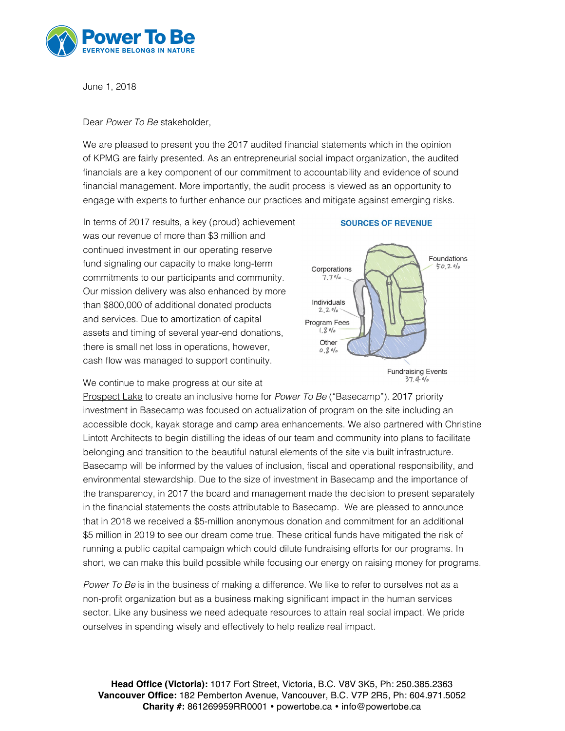

June 1, 2018

#### Dear *Power To Be* stakeholder,

We are pleased to present you the 2017 audited financial statements which in the opinion of KPMG are fairly presented. As an entrepreneurial social impact organization, the audited financials are a key component of our commitment to accountability and evidence of sound financial management. More importantly, the audit process is viewed as an opportunity to engage with experts to further enhance our practices and mitigate against emerging risks.

In terms of 2017 results, a key (proud) achievement was our revenue of more than \$3 million and continued investment in our operating reserve fund signaling our capacity to make long-term commitments to our participants and community. Our mission delivery was also enhanced by more than \$800,000 of additional donated products and services. Due to amortization of capital assets and timing of several year-end donations, there is small net loss in operations, however, cash flow was managed to support continuity.

We continue to make progress at our site at

#### **SOURCES OF REVENUE**



[Prospect Lake](https://powertobe.ca/prospect-lake/) to create an inclusive home for *Power To Be* ("Basecamp"). 2017 priority investment in Basecamp was focused on actualization of program on the site including an accessible dock, kayak storage and camp area enhancements. We also partnered with Christine Lintott Architects to begin distilling the ideas of our team and community into plans to facilitate belonging and transition to the beautiful natural elements of the site via built infrastructure. Basecamp will be informed by the values of inclusion, fiscal and operational responsibility, and environmental stewardship. Due to the size of investment in Basecamp and the importance of the transparency, in 2017 the board and management made the decision to present separately in the financial statements the costs attributable to Basecamp. We are pleased to announce that in 2018 we received a \$5-million anonymous donation and commitment for an additional \$5 million in 2019 to see our dream come true. These critical funds have mitigated the risk of running a public capital campaign which could dilute fundraising efforts for our programs. In short, we can make this build possible while focusing our energy on raising money for programs.

*Power To Be* is in the business of making a difference. We like to refer to ourselves not as a non-profit organization but as a business making significant impact in the human services sector. Like any business we need adequate resources to attain real social impact. We pride ourselves in spending wisely and effectively to help realize real impact.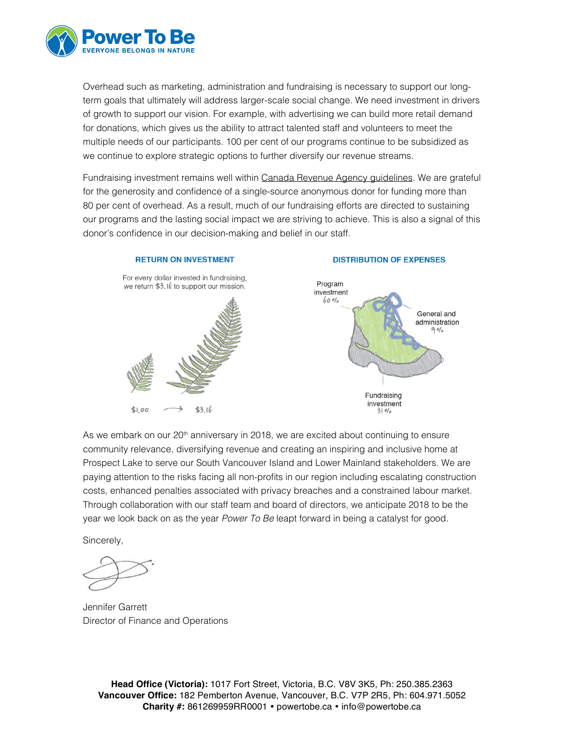

Overhead such as marketing, administration and fundraising is necessary to support our longterm goals that ultimately will address larger-scale social change. We need investment in drivers of growth to support our vision. For example, with advertising we can build more retail demand for donations, which gives us the ability to attract talented staff and volunteers to meet the multiple needs of our participants. 100 per cent of our programs continue to be subsidized as we continue to explore strategic options to further diversify our revenue streams.

Fundraising investment remains well within [Canada Revenue Agency guidelines](https://www.canada.ca/en/revenue-agency/services/charities-giving/charities/policies-guidance/fundraising-registered-charities-guidance.html). We are grateful for the generosity and confidence of a single-source anonymous donor for funding more than 80 per cent of overhead. As a result, much of our fundraising efforts are directed to sustaining our programs and the lasting social impact we are striving to achieve. This is also a signal of this donor's confidence in our decision-making and belief in our staff.



As we embark on our 20<sup>th</sup> anniversary in 2018, we are excited about continuing to ensure community relevance, diversifying revenue and creating an inspiring and inclusive home at Prospect Lake to serve our South Vancouver Island and Lower Mainland stakeholders. We are paying attention to the risks facing all non-profits in our region including escalating construction costs, enhanced penalties associated with privacy breaches and a constrained labour market. Through collaboration with our staff team and board of directors, we anticipate 2018 to be the year we look back on as the year *Power To Be* leapt forward in being a catalyst for good.

Sincerely,

Jennifer Garrett Director of Finance and Operations

**Head Office (Victoria):** 1017 Fort Street, Victoria, B.C. V8V 3K5, Ph: 250.385.2363 **Vancouver Office:** 182 Pemberton Avenue, Vancouver, B.C. V7P 2R5, Ph: 604.971.5052 **Charity #: 861269959RR0001 · powertobe.ca · info@powertobe.ca**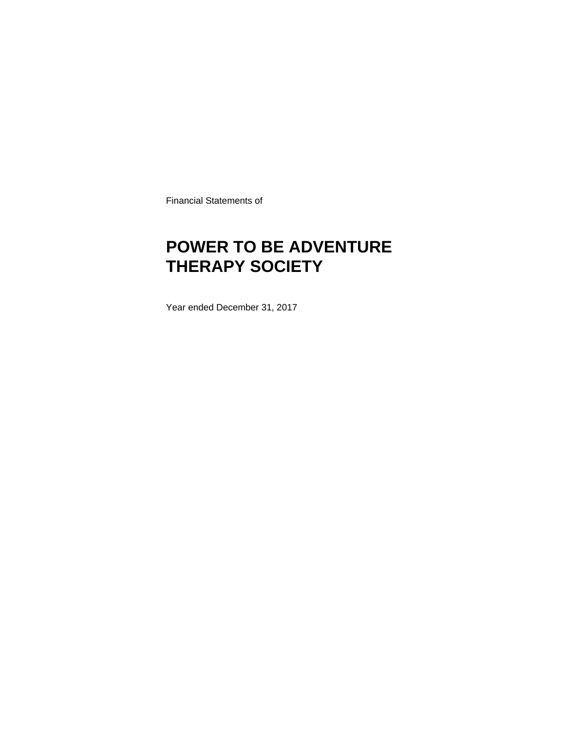Financial Statements of

### **POWER TO BE ADVENTURE THERAPY SOCIETY**

Year ended December 31, 2017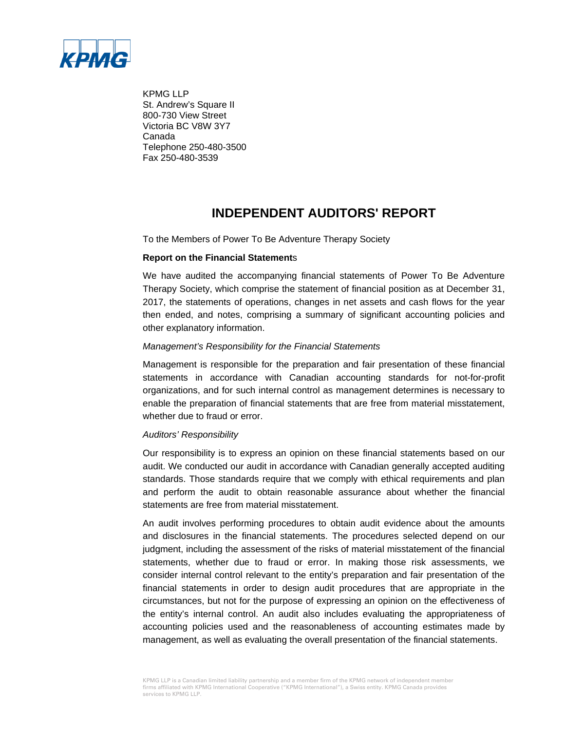

KPMG LLP St. Andrew's Square II 800-730 View Street Victoria BC V8W 3Y7 Canada Telephone 250-480-3500 Fax 250-480-3539

### **INDEPENDENT AUDITORS' REPORT**

To the Members of Power To Be Adventure Therapy Society

#### **Report on the Financial Statement**s

We have audited the accompanying financial statements of Power To Be Adventure Therapy Society, which comprise the statement of financial position as at December 31, 2017, the statements of operations, changes in net assets and cash flows for the year then ended, and notes, comprising a summary of significant accounting policies and other explanatory information.

#### *Management's Responsibility for the Financial Statements*

Management is responsible for the preparation and fair presentation of these financial statements in accordance with Canadian accounting standards for not-for-profit organizations, and for such internal control as management determines is necessary to enable the preparation of financial statements that are free from material misstatement, whether due to fraud or error.

#### *Auditors' Responsibility*

Our responsibility is to express an opinion on these financial statements based on our audit. We conducted our audit in accordance with Canadian generally accepted auditing standards. Those standards require that we comply with ethical requirements and plan and perform the audit to obtain reasonable assurance about whether the financial statements are free from material misstatement.

An audit involves performing procedures to obtain audit evidence about the amounts and disclosures in the financial statements. The procedures selected depend on our judgment, including the assessment of the risks of material misstatement of the financial statements, whether due to fraud or error. In making those risk assessments, we consider internal control relevant to the entity's preparation and fair presentation of the financial statements in order to design audit procedures that are appropriate in the circumstances, but not for the purpose of expressing an opinion on the effectiveness of the entity's internal control. An audit also includes evaluating the appropriateness of accounting policies used and the reasonableness of accounting estimates made by management, as well as evaluating the overall presentation of the financial statements.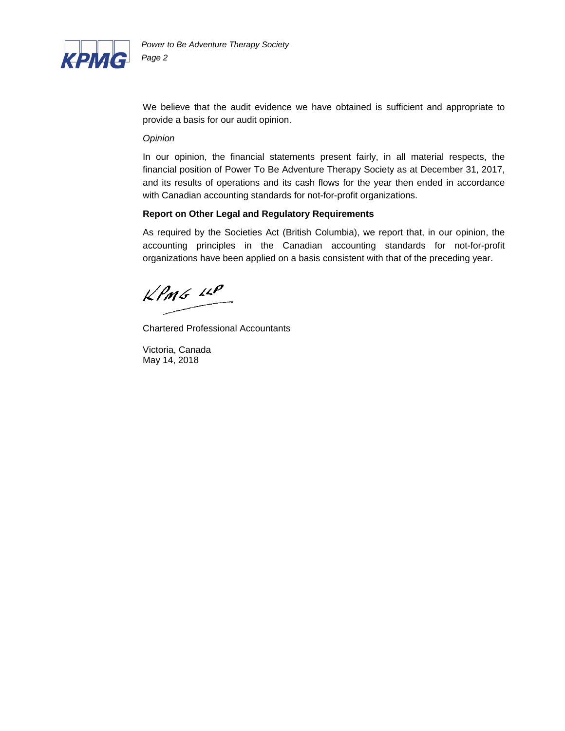

We believe that the audit evidence we have obtained is sufficient and appropriate to provide a basis for our audit opinion.

#### *Opinion*

In our opinion, the financial statements present fairly, in all material respects, the financial position of Power To Be Adventure Therapy Society as at December 31, 2017, and its results of operations and its cash flows for the year then ended in accordance with Canadian accounting standards for not-for-profit organizations.

#### **Report on Other Legal and Regulatory Requirements**

As required by the Societies Act (British Columbia), we report that, in our opinion, the accounting principles in the Canadian accounting standards for not-for-profit organizations have been applied on a basis consistent with that of the preceding year.

 $KPMS$  11P

Chartered Professional Accountants

Victoria, Canada May 14, 2018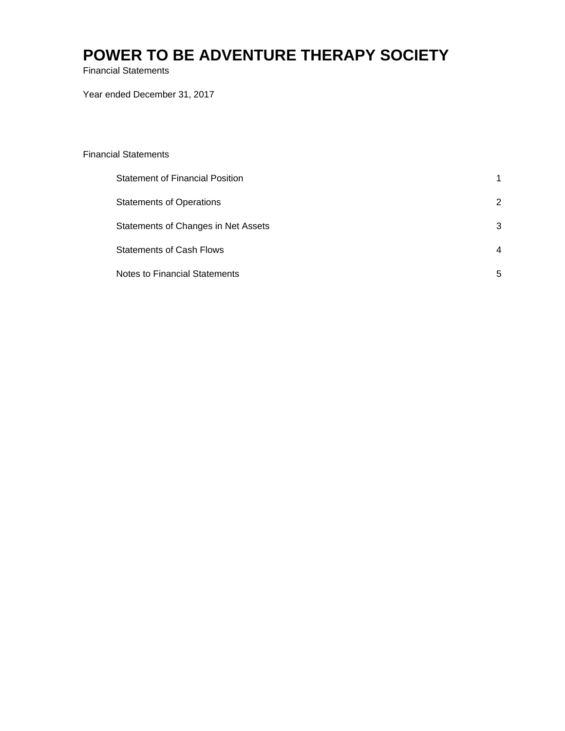Financial Statements

Year ended December 31, 2017

#### Financial Statements

| <b>Statement of Financial Position</b> | 1 |
|----------------------------------------|---|
| <b>Statements of Operations</b>        | 2 |
| Statements of Changes in Net Assets    | 3 |
| <b>Statements of Cash Flows</b>        | 4 |
| <b>Notes to Financial Statements</b>   | 5 |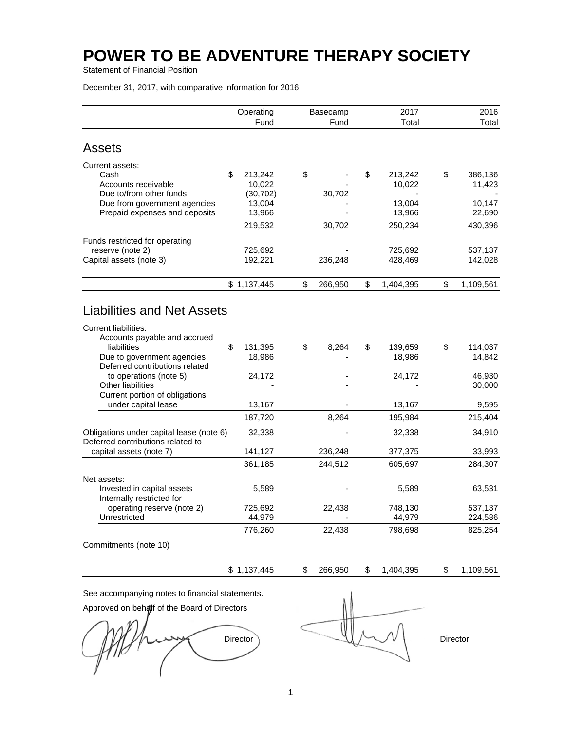Statement of Financial Position

December 31, 2017, with comparative information for 2016

|                                                                               | Operating     | Basecamp      |                 | 2016            |
|-------------------------------------------------------------------------------|---------------|---------------|-----------------|-----------------|
|                                                                               | Fund          | Fund          | Total           | Total           |
| <b>Assets</b>                                                                 |               |               |                 |                 |
| Current assets:                                                               |               |               |                 |                 |
| Cash                                                                          | \$<br>213,242 | \$            | \$<br>213,242   | \$<br>386,136   |
| Accounts receivable                                                           | 10,022        |               | 10,022          | 11,423          |
| Due to/from other funds                                                       | (30, 702)     | 30,702        |                 |                 |
| Due from government agencies                                                  | 13,004        |               | 13,004          | 10,147          |
| Prepaid expenses and deposits                                                 | 13,966        |               | 13,966          | 22,690          |
|                                                                               | 219,532       | 30,702        | 250,234         | 430,396         |
| Funds restricted for operating                                                |               |               |                 |                 |
| reserve (note 2)                                                              | 725,692       |               | 725,692         | 537,137         |
| Capital assets (note 3)                                                       | 192,221       | 236,248       | 428,469         | 142,028         |
|                                                                               | \$1,137,445   | \$<br>266,950 | \$<br>1,404,395 | \$<br>1,109,561 |
| <b>Liabilities and Net Assets</b>                                             |               |               |                 |                 |
|                                                                               |               |               |                 |                 |
| <b>Current liabilities:</b>                                                   |               |               |                 |                 |
| Accounts payable and accrued                                                  |               |               |                 |                 |
| liabilities                                                                   | \$<br>131,395 | \$<br>8,264   | \$<br>139,659   | \$<br>114,037   |
| Due to government agencies                                                    | 18,986        |               | 18,986          | 14,842          |
| Deferred contributions related<br>to operations (note 5)                      | 24,172        |               |                 | 46,930          |
| Other liabilities                                                             |               |               | 24,172          | 30,000          |
| Current portion of obligations                                                |               |               |                 |                 |
| under capital lease                                                           | 13,167        |               | 13,167          | 9,595           |
|                                                                               | 187,720       | 8,264         | 195,984         | 215,404         |
| Obligations under capital lease (note 6)<br>Deferred contributions related to | 32,338        |               | 32,338          | 34,910          |
| capital assets (note 7)                                                       | 141,127       | 236,248       | 377,375         | 33,993          |
|                                                                               | 361,185       | 244,512       | 605,697         | 284,307         |
| Net assets:                                                                   |               |               |                 |                 |
| Invested in capital assets<br>Internally restricted for                       | 5,589         |               | 5,589           | 63,531          |
| operating reserve (note 2)                                                    | 725,692       | 22,438        | 748,130         | 537,137         |
| Unrestricted                                                                  | 44,979        |               | 44,979          | 224,586         |
|                                                                               | 776,260       | 22,438        | 798,698         | 825,254         |
| Commitments (note 10)                                                         |               |               |                 |                 |
|                                                                               | \$1,137,445   | \$<br>266,950 | \$<br>1,404,395 | \$<br>1,109,561 |

See accompanying notes to financial statements.

Approved on behalf of the Board of Directors

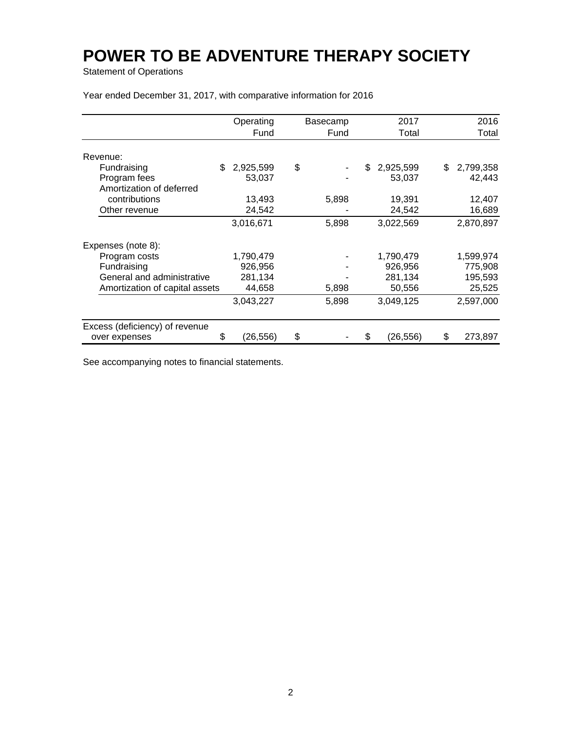Statement of Operations

Year ended December 31, 2017, with comparative information for 2016

|                                | Operating<br>Basecamp |    |       |    | 2017      |    | 2016      |
|--------------------------------|-----------------------|----|-------|----|-----------|----|-----------|
|                                | Fund                  |    | Fund  |    | Total     |    | Total     |
|                                |                       |    |       |    |           |    |           |
| Revenue:                       |                       |    |       |    |           |    |           |
| Fundraising<br>\$              | 2,925,599             | \$ |       | \$ | 2,925,599 | \$ | 2,799,358 |
| Program fees                   | 53,037                |    |       |    | 53,037    |    | 42,443    |
| Amortization of deferred       |                       |    |       |    |           |    |           |
| contributions                  | 13,493                |    | 5,898 |    | 19,391    |    | 12,407    |
| Other revenue                  | 24,542                |    |       |    | 24,542    |    | 16,689    |
|                                | 3,016,671             |    | 5,898 |    | 3,022,569 |    | 2,870,897 |
| Expenses (note 8):             |                       |    |       |    |           |    |           |
| Program costs                  | 1,790,479             |    |       |    | 1,790,479 |    | 1,599,974 |
| Fundraising                    | 926,956               |    |       |    | 926,956   |    | 775,908   |
| General and administrative     | 281,134               |    |       |    | 281,134   |    | 195,593   |
| Amortization of capital assets | 44,658                |    | 5,898 |    | 50,556    |    | 25,525    |
|                                | 3,043,227             |    | 5,898 |    | 3,049,125 |    | 2,597,000 |
| Excess (deficiency) of revenue |                       |    |       |    |           |    |           |
| S<br>over expenses             | (26, 556)             | \$ |       |    | (26,556)  | S  | 273,897   |

See accompanying notes to financial statements.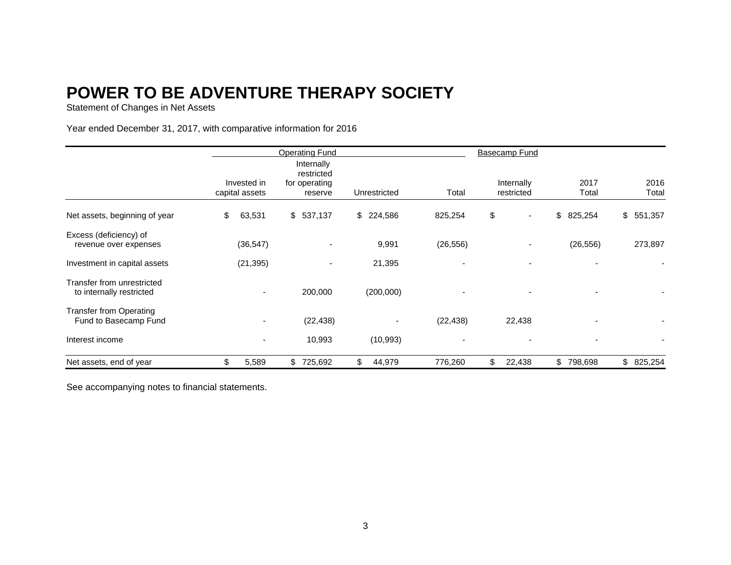Statement of Changes in Net Assets

Year ended December 31, 2017, with comparative information for 2016

|                                                         |                |                          | <b>Operating Fund</b>                                |              |                          | Basecamp Fund                  |               |               |
|---------------------------------------------------------|----------------|--------------------------|------------------------------------------------------|--------------|--------------------------|--------------------------------|---------------|---------------|
|                                                         | capital assets | Invested in              | Internally<br>restricted<br>for operating<br>reserve | Unrestricted | Total                    | Internally<br>restricted       | 2017<br>Total | 2016<br>Total |
| Net assets, beginning of year                           | \$             | 63,531                   | \$537,137                                            | \$224,586    | 825,254                  | \$<br>$\overline{\phantom{a}}$ | \$<br>825,254 | 551,357<br>\$ |
| Excess (deficiency) of<br>revenue over expenses         |                | (36, 547)                |                                                      | 9,991        | (26, 556)                | $\overline{\phantom{a}}$       | (26, 556)     | 273,897       |
| Investment in capital assets                            |                | (21, 395)                |                                                      | 21,395       | $\blacksquare$           |                                |               |               |
| Transfer from unrestricted<br>to internally restricted  |                |                          | 200,000                                              | (200,000)    | $\blacksquare$           |                                |               |               |
| <b>Transfer from Operating</b><br>Fund to Basecamp Fund |                |                          | (22, 438)                                            |              | (22, 438)                | 22,438                         |               |               |
| Interest income                                         |                | $\overline{\phantom{a}}$ | 10,993                                               | (10, 993)    | $\overline{\phantom{0}}$ |                                |               |               |
| Net assets, end of year                                 | \$             | 5,589                    | \$<br>725,692                                        | \$<br>44,979 | 776,260                  | \$<br>22,438                   | \$<br>798,698 | \$<br>825,254 |

See accompanying notes to financial statements.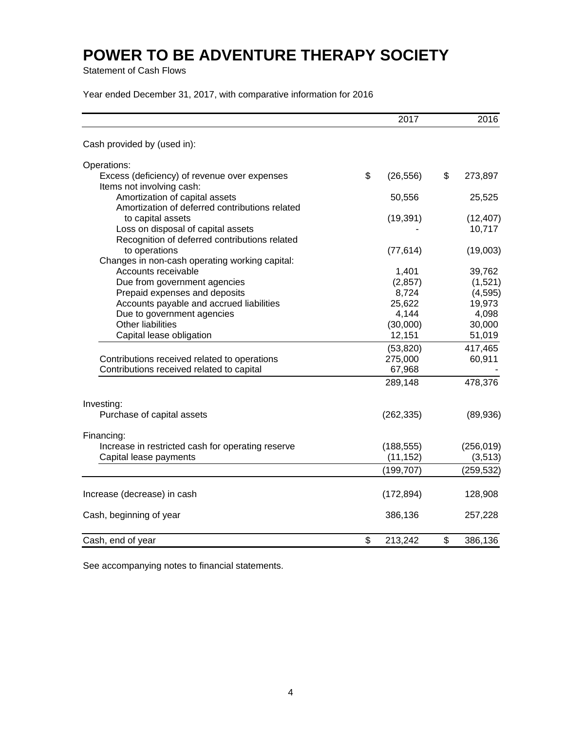Statement of Cash Flows

Year ended December 31, 2017, with comparative information for 2016

|                                                                                     | 2017            | 2016          |
|-------------------------------------------------------------------------------------|-----------------|---------------|
| Cash provided by (used in):                                                         |                 |               |
| Operations:                                                                         |                 |               |
| Excess (deficiency) of revenue over expenses<br>Items not involving cash:           | \$<br>(26, 556) | \$<br>273,897 |
| Amortization of capital assets<br>Amortization of deferred contributions related    | 50,556          | 25,525        |
| to capital assets                                                                   | (19, 391)       | (12, 407)     |
| Loss on disposal of capital assets<br>Recognition of deferred contributions related |                 | 10,717        |
| to operations                                                                       | (77, 614)       | (19,003)      |
| Changes in non-cash operating working capital:                                      |                 |               |
| Accounts receivable                                                                 | 1,401           | 39,762        |
| Due from government agencies                                                        | (2, 857)        | (1,521)       |
| Prepaid expenses and deposits                                                       | 8,724           | (4, 595)      |
| Accounts payable and accrued liabilities                                            | 25,622          | 19,973        |
| Due to government agencies                                                          | 4,144           | 4,098         |
| <b>Other liabilities</b>                                                            | (30,000)        | 30,000        |
| Capital lease obligation                                                            | 12,151          | 51,019        |
|                                                                                     | (53, 820)       | 417,465       |
| Contributions received related to operations                                        | 275,000         | 60,911        |
| Contributions received related to capital                                           | 67,968          |               |
|                                                                                     | 289,148         | 478,376       |
| Investing:                                                                          |                 |               |
| Purchase of capital assets                                                          | (262, 335)      | (89, 936)     |
| Financing:                                                                          |                 |               |
| Increase in restricted cash for operating reserve                                   | (188, 555)      | (256, 019)    |
| Capital lease payments                                                              | (11, 152)       | (3, 513)      |
|                                                                                     | (199, 707)      | (259, 532)    |
| Increase (decrease) in cash                                                         | (172, 894)      | 128,908       |
| Cash, beginning of year                                                             | 386,136         | 257,228       |
| Cash, end of year                                                                   | \$<br>213,242   | \$<br>386,136 |

See accompanying notes to financial statements.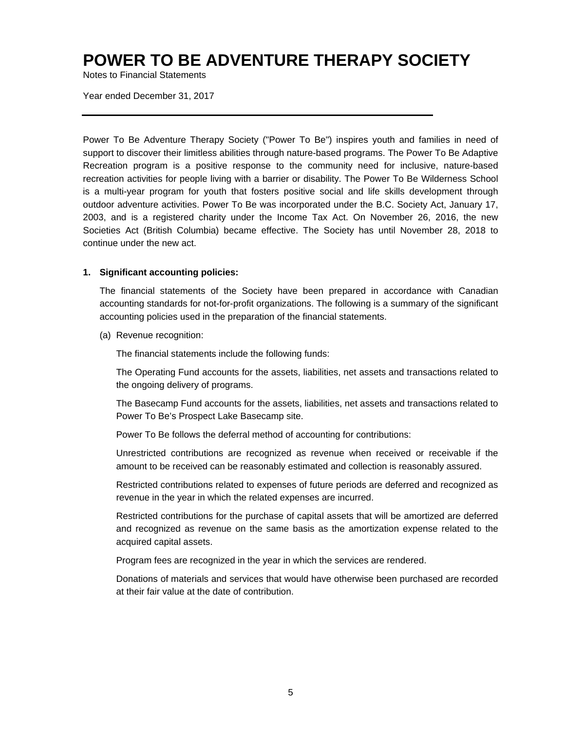Notes to Financial Statements

Year ended December 31, 2017

Power To Be Adventure Therapy Society ("Power To Be") inspires youth and families in need of support to discover their limitless abilities through nature-based programs. The Power To Be Adaptive Recreation program is a positive response to the community need for inclusive, nature-based recreation activities for people living with a barrier or disability. The Power To Be Wilderness School is a multi-year program for youth that fosters positive social and life skills development through outdoor adventure activities. Power To Be was incorporated under the B.C. Society Act, January 17, 2003, and is a registered charity under the Income Tax Act. On November 26, 2016, the new Societies Act (British Columbia) became effective. The Society has until November 28, 2018 to continue under the new act.

#### **1. Significant accounting policies:**

The financial statements of the Society have been prepared in accordance with Canadian accounting standards for not-for-profit organizations. The following is a summary of the significant accounting policies used in the preparation of the financial statements.

(a) Revenue recognition:

The financial statements include the following funds:

The Operating Fund accounts for the assets, liabilities, net assets and transactions related to the ongoing delivery of programs.

The Basecamp Fund accounts for the assets, liabilities, net assets and transactions related to Power To Be's Prospect Lake Basecamp site.

Power To Be follows the deferral method of accounting for contributions:

Unrestricted contributions are recognized as revenue when received or receivable if the amount to be received can be reasonably estimated and collection is reasonably assured.

Restricted contributions related to expenses of future periods are deferred and recognized as revenue in the year in which the related expenses are incurred.

Restricted contributions for the purchase of capital assets that will be amortized are deferred and recognized as revenue on the same basis as the amortization expense related to the acquired capital assets.

Program fees are recognized in the year in which the services are rendered.

Donations of materials and services that would have otherwise been purchased are recorded at their fair value at the date of contribution.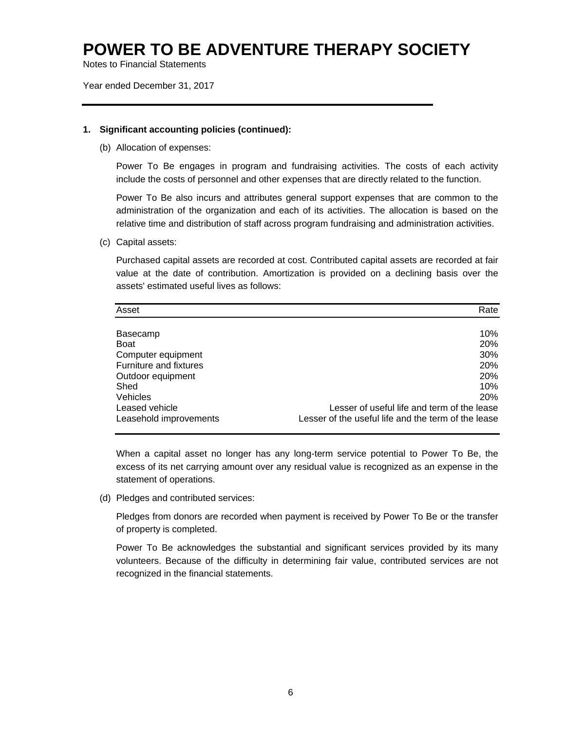Notes to Financial Statements

Year ended December 31, 2017

#### **1. Significant accounting policies (continued):**

(b) Allocation of expenses:

Power To Be engages in program and fundraising activities. The costs of each activity include the costs of personnel and other expenses that are directly related to the function.

Power To Be also incurs and attributes general support expenses that are common to the administration of the organization and each of its activities. The allocation is based on the relative time and distribution of staff across program fundraising and administration activities.

(c) Capital assets:

Purchased capital assets are recorded at cost. Contributed capital assets are recorded at fair value at the date of contribution. Amortization is provided on a declining basis over the assets' estimated useful lives as follows:

| Asset                  | Rate                                                |
|------------------------|-----------------------------------------------------|
|                        |                                                     |
| Basecamp               | 10%                                                 |
| <b>Boat</b>            | 20%                                                 |
| Computer equipment     | 30%                                                 |
| Furniture and fixtures | 20%                                                 |
| Outdoor equipment      | 20%                                                 |
| Shed                   | 10%                                                 |
| Vehicles               | 20%                                                 |
| Leased vehicle         | Lesser of useful life and term of the lease         |
| Leasehold improvements | Lesser of the useful life and the term of the lease |

When a capital asset no longer has any long-term service potential to Power To Be, the excess of its net carrying amount over any residual value is recognized as an expense in the statement of operations.

(d) Pledges and contributed services:

Pledges from donors are recorded when payment is received by Power To Be or the transfer of property is completed.

Power To Be acknowledges the substantial and significant services provided by its many volunteers. Because of the difficulty in determining fair value, contributed services are not recognized in the financial statements.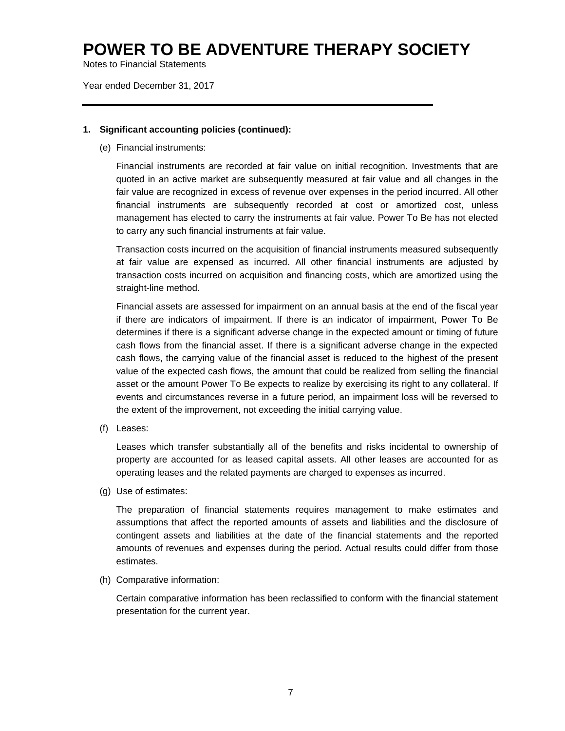Notes to Financial Statements

Year ended December 31, 2017

#### **1. Significant accounting policies (continued):**

(e) Financial instruments:

Financial instruments are recorded at fair value on initial recognition. Investments that are quoted in an active market are subsequently measured at fair value and all changes in the fair value are recognized in excess of revenue over expenses in the period incurred. All other financial instruments are subsequently recorded at cost or amortized cost, unless management has elected to carry the instruments at fair value. Power To Be has not elected to carry any such financial instruments at fair value.

Transaction costs incurred on the acquisition of financial instruments measured subsequently at fair value are expensed as incurred. All other financial instruments are adjusted by transaction costs incurred on acquisition and financing costs, which are amortized using the straight-line method.

Financial assets are assessed for impairment on an annual basis at the end of the fiscal year if there are indicators of impairment. If there is an indicator of impairment, Power To Be determines if there is a significant adverse change in the expected amount or timing of future cash flows from the financial asset. If there is a significant adverse change in the expected cash flows, the carrying value of the financial asset is reduced to the highest of the present value of the expected cash flows, the amount that could be realized from selling the financial asset or the amount Power To Be expects to realize by exercising its right to any collateral. If events and circumstances reverse in a future period, an impairment loss will be reversed to the extent of the improvement, not exceeding the initial carrying value.

(f) Leases:

Leases which transfer substantially all of the benefits and risks incidental to ownership of property are accounted for as leased capital assets. All other leases are accounted for as operating leases and the related payments are charged to expenses as incurred.

(g) Use of estimates:

The preparation of financial statements requires management to make estimates and assumptions that affect the reported amounts of assets and liabilities and the disclosure of contingent assets and liabilities at the date of the financial statements and the reported amounts of revenues and expenses during the period. Actual results could differ from those estimates.

(h) Comparative information:

Certain comparative information has been reclassified to conform with the financial statement presentation for the current year.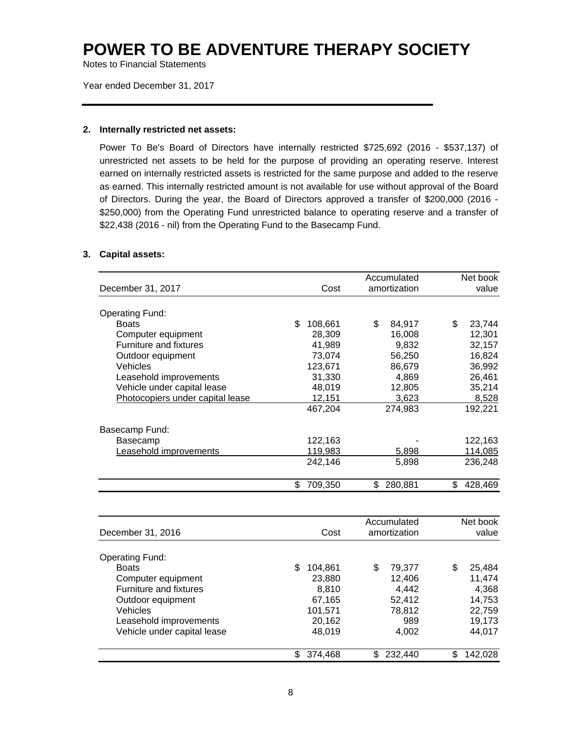Notes to Financial Statements

Year ended December 31, 2017

#### **2. Internally restricted net assets:**

Power To Be's Board of Directors have internally restricted \$725,692 (2016 - \$537,137) of unrestricted net assets to be held for the purpose of providing an operating reserve. Interest earned on internally restricted assets is restricted for the same purpose and added to the reserve as earned. This internally restricted amount is not available for use without approval of the Board of Directors. During the year, the Board of Directors approved a transfer of \$200,000 (2016 - \$250,000) from the Operating Fund unrestricted balance to operating reserve and a transfer of \$22,438 (2016 - nil) from the Operating Fund to the Basecamp Fund.

#### **3. Capital assets:**

| December 31, 2017                | Cost    | Accumulated<br>amortization | Net book<br>value |
|----------------------------------|---------|-----------------------------|-------------------|
|                                  |         |                             |                   |
| <b>Operating Fund:</b>           |         |                             |                   |
| \$.<br><b>Boats</b>              | 108,661 | \$<br>84,917                | \$<br>23,744      |
| Computer equipment               | 28,309  | 16,008                      | 12,301            |
| Furniture and fixtures           | 41,989  | 9,832                       | 32,157            |
| Outdoor equipment                | 73,074  | 56,250                      | 16,824            |
| Vehicles                         | 123,671 | 86,679                      | 36,992            |
| Leasehold improvements           | 31,330  | 4,869                       | 26,461            |
| Vehicle under capital lease      | 48.019  | 12,805                      | 35,214            |
| Photocopiers under capital lease | 12,151  | 3,623                       | 8,528             |
|                                  | 467,204 | 274,983                     | 192,221           |
| Basecamp Fund:                   |         |                             |                   |
| Basecamp                         | 122,163 |                             | 122,163           |
| Leasehold improvements           | 119,983 | 5,898                       | 114,085           |
|                                  | 242,146 | 5,898                       | 236,248           |
| \$                               | 709,350 | 280,881<br>\$               | \$<br>428,469     |

| December 31, 2016           | Cost          | Accumulated<br>amortization | Net book<br>value |
|-----------------------------|---------------|-----------------------------|-------------------|
| <b>Operating Fund:</b>      |               |                             |                   |
| <b>Boats</b>                | \$<br>104,861 | \$<br>79.377                | \$<br>25,484      |
| Computer equipment          | 23,880        | 12,406                      | 11,474            |
| Furniture and fixtures      | 8,810         | 4.442                       | 4,368             |
| Outdoor equipment           | 67,165        | 52,412                      | 14,753            |
| Vehicles                    | 101,571       | 78,812                      | 22,759            |
| Leasehold improvements      | 20,162        | 989                         | 19,173            |
| Vehicle under capital lease | 48,019        | 4,002                       | 44,017            |
|                             | S<br>374,468  | \$<br>232,440               | \$<br>142.028     |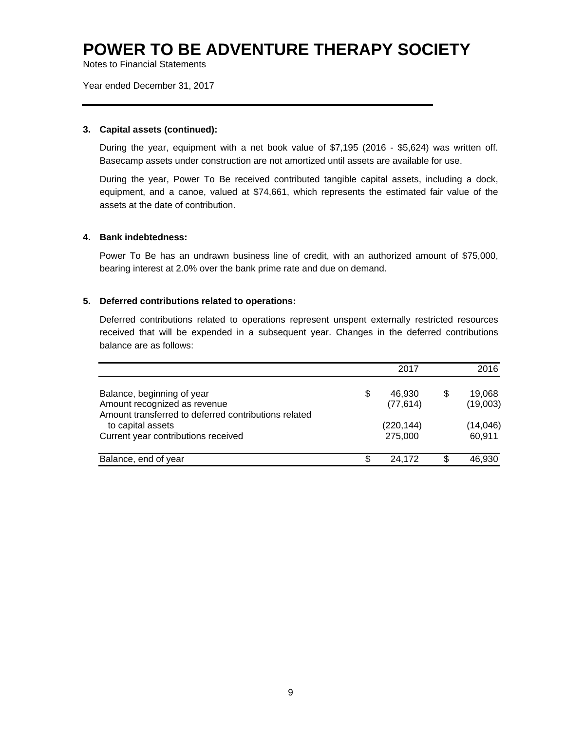Notes to Financial Statements

Year ended December 31, 2017

#### **3. Capital assets (continued):**

During the year, equipment with a net book value of \$7,195 (2016 - \$5,624) was written off. Basecamp assets under construction are not amortized until assets are available for use.

During the year, Power To Be received contributed tangible capital assets, including a dock, equipment, and a canoe, valued at \$74,661, which represents the estimated fair value of the assets at the date of contribution.

#### **4. Bank indebtedness:**

Power To Be has an undrawn business line of credit, with an authorized amount of \$75,000, bearing interest at 2.0% over the bank prime rate and due on demand.

#### **5. Deferred contributions related to operations:**

Deferred contributions related to operations represent unspent externally restricted resources received that will be expended in a subsequent year. Changes in the deferred contributions balance are as follows:

|                                                                                                                  |    | 2017                 |   | 2016               |
|------------------------------------------------------------------------------------------------------------------|----|----------------------|---|--------------------|
| Balance, beginning of year<br>Amount recognized as revenue                                                       | \$ | 46.930<br>(77, 614)  | S | 19,068<br>(19,003) |
| Amount transferred to deferred contributions related<br>to capital assets<br>Current year contributions received |    | (220,144)<br>275,000 |   | (14,046)<br>60,911 |
| Balance, end of year                                                                                             | S  | 24.172               | S | 46,930             |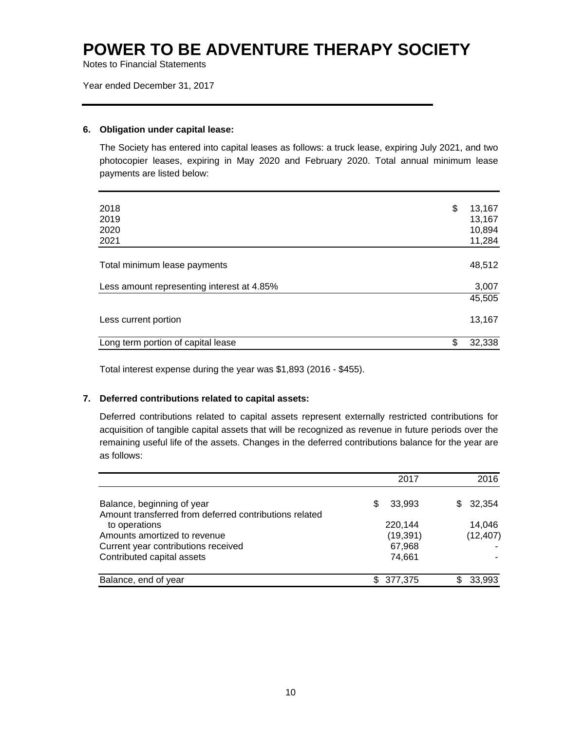Notes to Financial Statements

Year ended December 31, 2017

#### **6. Obligation under capital lease:**

The Society has entered into capital leases as follows: a truck lease, expiring July 2021, and two photocopier leases, expiring in May 2020 and February 2020. Total annual minimum lease payments are listed below:

| 2018                                       | \$<br>13,167 |
|--------------------------------------------|--------------|
| 2019                                       | 13,167       |
| 2020                                       | 10,894       |
| 2021                                       | 11,284       |
|                                            |              |
| Total minimum lease payments               | 48,512       |
| Less amount representing interest at 4.85% | 3,007        |
|                                            | 45,505       |
| Less current portion                       | 13,167       |
| Long term portion of capital lease         | \$<br>32,338 |

Total interest expense during the year was \$1,893 (2016 - \$455).

#### **7. Deferred contributions related to capital assets:**

Deferred contributions related to capital assets represent externally restricted contributions for acquisition of tangible capital assets that will be recognized as revenue in future periods over the remaining useful life of the assets. Changes in the deferred contributions balance for the year are as follows:

|                                                        |   | 2017      | 2016      |
|--------------------------------------------------------|---|-----------|-----------|
| Balance, beginning of year                             | S | 33,993    | \$ 32,354 |
| Amount transferred from deferred contributions related |   |           |           |
| to operations                                          |   | 220,144   | 14,046    |
| Amounts amortized to revenue                           |   | (19, 391) | (12, 407) |
| Current year contributions received                    |   | 67,968    |           |
| Contributed capital assets                             |   | 74.661    |           |
| Balance, end of year                                   |   | \$377,375 | 33,993    |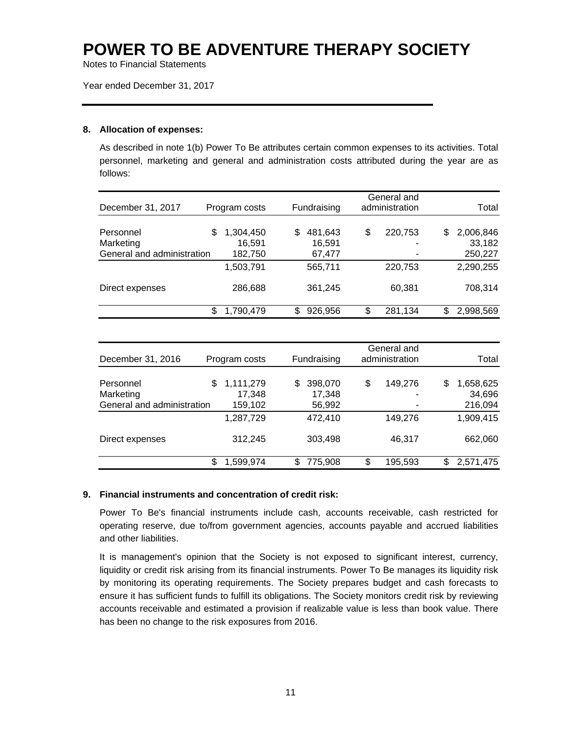Notes to Financial Statements

Year ended December 31, 2017

#### **8. Allocation of expenses:**

As described in note 1(b) Power To Be attributes certain common expenses to its activities. Total personnel, marketing and general and administration costs attributed during the year are as follows:

| December 31, 2017          | Program costs |           | Fundraising   | General and<br>administration | Total           |
|----------------------------|---------------|-----------|---------------|-------------------------------|-----------------|
|                            |               |           |               |                               |                 |
| Personnel                  | \$            | 1,304,450 | \$<br>481,643 | \$<br>220,753                 | \$<br>2,006,846 |
| Marketing                  |               | 16,591    | 16.591        |                               | 33,182          |
| General and administration |               | 182,750   | 67,477        |                               | 250,227         |
|                            |               | 1,503,791 | 565,711       | 220,753                       | 2,290,255       |
| Direct expenses            |               | 286,688   | 361,245       | 60,381                        | 708,314         |
|                            | \$            | 1,790,479 | \$<br>926,956 | \$<br>281,134                 | \$<br>2,998,569 |
|                            |               |           |               |                               |                 |

| December 31, 2016          |     |           | Fundraising<br>Program costs |         | General and<br>administration |         | Total |           |
|----------------------------|-----|-----------|------------------------------|---------|-------------------------------|---------|-------|-----------|
|                            |     |           |                              |         |                               |         |       |           |
| Personnel                  |     | 1,111,279 | S                            | 398,070 | \$                            | 149,276 | S     | 1,658,625 |
| Marketing                  |     | 17,348    |                              | 17,348  |                               | -       |       | 34,696    |
| General and administration |     | 159,102   |                              | 56,992  |                               |         |       | 216,094   |
|                            |     | 1,287,729 |                              | 472,410 |                               | 149,276 |       | 1,909,415 |
| Direct expenses            |     | 312,245   |                              | 303,498 |                               | 46,317  |       | 662,060   |
|                            | \$. | 1,599,974 | S.                           | 775,908 | \$                            | 195,593 | \$    | 2,571,475 |

#### **9. Financial instruments and concentration of credit risk:**

Power To Be's financial instruments include cash, accounts receivable, cash restricted for operating reserve, due to/from government agencies, accounts payable and accrued liabilities and other liabilities.

It is management's opinion that the Society is not exposed to significant interest, currency, liquidity or credit risk arising from its financial instruments. Power To Be manages its liquidity risk by monitoring its operating requirements. The Society prepares budget and cash forecasts to ensure it has sufficient funds to fulfill its obligations. The Society monitors credit risk by reviewing accounts receivable and estimated a provision if realizable value is less than book value. There has been no change to the risk exposures from 2016.